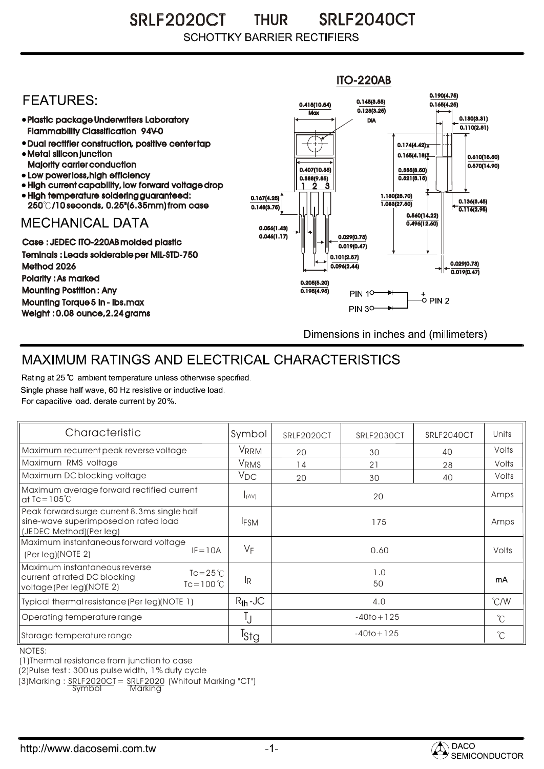SRLF2020CT THUR SRLF2040CT THUR **SCHOTTKY BARRIER RECTIFIERS** 



## MAXIMUM RATINGS AND ELECTRICAL CHARACTERISTICS

Rating at 25 °C ambient temperature unless otherwise specified. Single phase half wave, 60 Hz resistive or inductive load. For capacitive load, derate current by 20%.

| Characteristic                                                                                                                           | Symbol           | SRLF2020CT     | SRLF2030CT | SRLF2040CT | Units         |
|------------------------------------------------------------------------------------------------------------------------------------------|------------------|----------------|------------|------------|---------------|
| Maximum recurrent peak reverse voltage                                                                                                   | VRRM             | 20             | 30         | 40         | Volts         |
| Maximum RMS voltage                                                                                                                      | V <sub>RMS</sub> | 14             | 21         | 28         | Volts         |
| Maximum DC blocking voltage                                                                                                              | $V_{DC}$         | 20             | 30         | 40         | Volts         |
| Maximum average forward rectified current<br>at Tc = $105^{\circ}$ C                                                                     | I(AV)            | 20             |            |            | Amps          |
| Peak forward surge current 8.3ms single half<br>sine-wave superimposed on rated load<br>(JEDEC Method)(Per leg)                          | <b>IFSM</b>      | 175            |            |            | Amps          |
| Maximum instantaneous forward voltage<br>$IF = 10A$<br>$(Per \, \text{leaf}) (NOTE \, 2)$                                                | VF               | 0.60           |            |            | Volts         |
| Maximum instantaneous reverse<br>$\text{TC} = 25^{\circ}$<br>current at rated DC blocking<br>$Tc = 100 °C$<br>voltage (Per leg) (NOTE 2) | lR.              | 1.0<br>50      |            |            | mA            |
| Typical thermal resistance (Per leg) (NOTE 1)                                                                                            | $R_{th}$ -JC     | 4.0            |            |            | $\degree$ C/W |
| Operating temperature range                                                                                                              |                  | $-40$ to + 125 |            |            | $^{\circ}$ C  |
| Storage temperature range                                                                                                                | <sup>T</sup> Stg | $-40$ to + 125 |            |            | $^{\circ}C$   |

NOTES:

(1)Thermal resistance from junction to case

(2)Pulse test : 300 us pulse width, 1% duty cycle

 $(3)$ Marking :  $\frac{SRLF2020CI}{Symbol} = \frac{SRLF2020}{Marking}$  (Whitout Marking "CT")

Marking